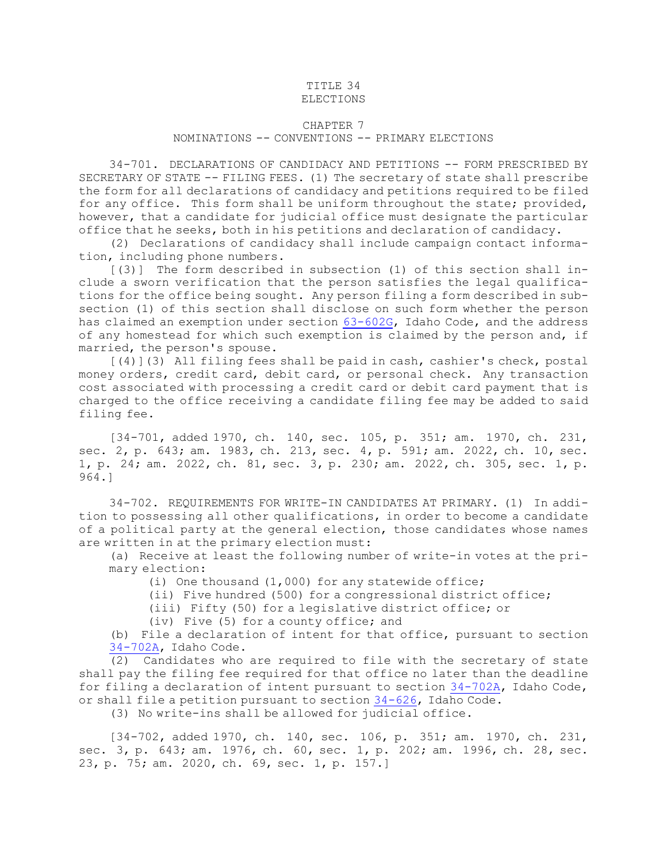## TITLE 34

## ELECTIONS

## CHAPTER 7

## NOMINATIONS -- CONVENTIONS -- PRIMARY ELECTIONS

34-701. DECLARATIONS OF CANDIDACY AND PETITIONS -- FORM PRESCRIBED BY SECRETARY OF STATE -- FILING FEES. (1) The secretary of state shall prescribe the form for all declarations of candidacy and petitions required to be filed for any office. This form shall be uniform throughout the state; provided, however, that <sup>a</sup> candidate for judicial office must designate the particular office that he seeks, both in his petitions and declaration of candidacy.

(2) Declarations of candidacy shall include campaign contact information, including phone numbers.

[(3)] The form described in subsection (1) of this section shall include <sup>a</sup> sworn verification that the person satisfies the legal qualifications for the office being sought. Any person filing <sup>a</sup> form described in subsection (1) of this section shall disclose on such form whether the person has claimed an exemption under section [63-602G](https://legislature.idaho.gov/statutesrules/idstat/Title63/T63CH6/SECT63-602G), Idaho Code, and the address of any homestead for which such exemption is claimed by the person and, if married, the person's spouse.

[(4)](3) All filing fees shall be paid in cash, cashier's check, postal money orders, credit card, debit card, or personal check. Any transaction cost associated with processing <sup>a</sup> credit card or debit card payment that is charged to the office receiving <sup>a</sup> candidate filing fee may be added to said filing fee.

[34-701, added 1970, ch. 140, sec. 105, p. 351; am. 1970, ch. 231, sec. 2, p. 643; am. 1983, ch. 213, sec. 4, p. 591; am. 2022, ch. 10, sec. 1, p. 24; am. 2022, ch. 81, sec. 3, p. 230; am. 2022, ch. 305, sec. 1, p. 964.]

34-702. REQUIREMENTS FOR WRITE-IN CANDIDATES AT PRIMARY. (1) In addition to possessing all other qualifications, in order to become <sup>a</sup> candidate of <sup>a</sup> political party at the general election, those candidates whose names are written in at the primary election must:

(a) Receive at least the following number of write-in votes at the primary election:

(i) One thousand (1,000) for any statewide office;

(ii) Five hundred (500) for <sup>a</sup> congressional district office;

(iii) Fifty (50) for <sup>a</sup> legislative district office; or

(iv) Five (5) for <sup>a</sup> county office; and

(b) File <sup>a</sup> declaration of intent for that office, pursuant to section [34-702A](https://legislature.idaho.gov/statutesrules/idstat/Title34/T34CH7/SECT34-702A), Idaho Code.

(2) Candidates who are required to file with the secretary of state shall pay the filing fee required for that office no later than the deadline for filing <sup>a</sup> declaration of intent pursuant to section [34-702A](https://legislature.idaho.gov/statutesrules/idstat/Title34/T34CH7/SECT34-702A), Idaho Code, or shall file <sup>a</sup> petition pursuant to section [34-626](https://legislature.idaho.gov/statutesrules/idstat/Title34/T34CH6/SECT34-626), Idaho Code.

(3) No write-ins shall be allowed for judicial office.

[34-702, added 1970, ch. 140, sec. 106, p. 351; am. 1970, ch. 231, sec. 3, p. 643; am. 1976, ch. 60, sec. 1, p. 202; am. 1996, ch. 28, sec. 23, p. 75; am. 2020, ch. 69, sec. 1, p. 157.]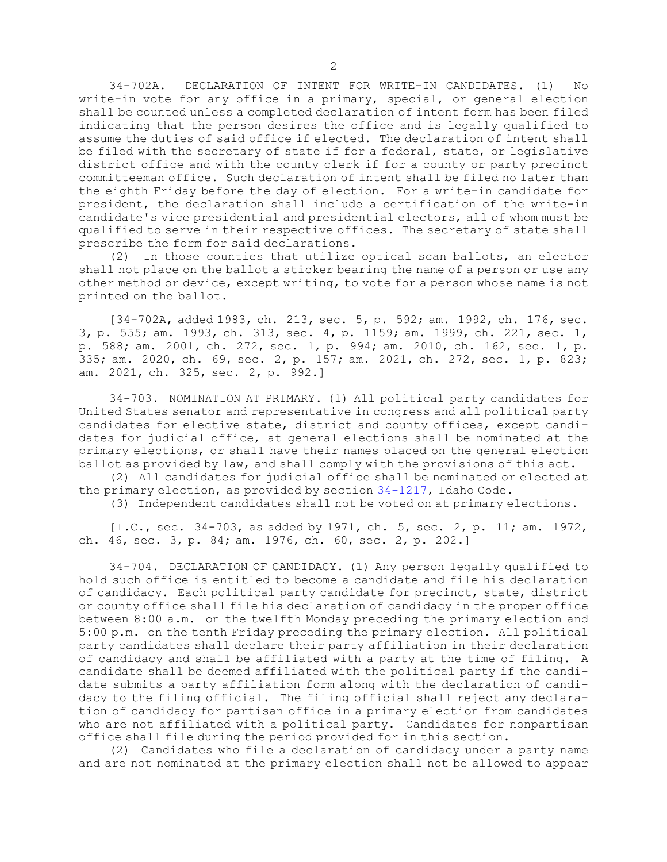34-702A. DECLARATION OF INTENT FOR WRITE-IN CANDIDATES. (1) No write-in vote for any office in <sup>a</sup> primary, special, or general election shall be counted unless <sup>a</sup> completed declaration of intent form has been filed indicating that the person desires the office and is legally qualified to assume the duties of said office if elected. The declaration of intent shall be filed with the secretary of state if for <sup>a</sup> federal, state, or legislative district office and with the county clerk if for <sup>a</sup> county or party precinct committeeman office. Such declaration of intent shall be filed no later than the eighth Friday before the day of election. For <sup>a</sup> write-in candidate for president, the declaration shall include <sup>a</sup> certification of the write-in candidate's vice presidential and presidential electors, all of whom must be qualified to serve in their respective offices. The secretary of state shall prescribe the form for said declarations.

(2) In those counties that utilize optical scan ballots, an elector shall not place on the ballot <sup>a</sup> sticker bearing the name of <sup>a</sup> person or use any other method or device, except writing, to vote for <sup>a</sup> person whose name is not printed on the ballot.

[34-702A, added 1983, ch. 213, sec. 5, p. 592; am. 1992, ch. 176, sec. 3, p. 555; am. 1993, ch. 313, sec. 4, p. 1159; am. 1999, ch. 221, sec. 1, p. 588; am. 2001, ch. 272, sec. 1, p. 994; am. 2010, ch. 162, sec. 1, p. 335; am. 2020, ch. 69, sec. 2, p. 157; am. 2021, ch. 272, sec. 1, p. 823; am. 2021, ch. 325, sec. 2, p. 992.]

34-703. NOMINATION AT PRIMARY. (1) All political party candidates for United States senator and representative in congress and all political party candidates for elective state, district and county offices, except candidates for judicial office, at general elections shall be nominated at the primary elections, or shall have their names placed on the general election ballot as provided by law, and shall comply with the provisions of this act.

(2) All candidates for judicial office shall be nominated or elected at the primary election, as provided by section [34-1217](https://legislature.idaho.gov/statutesrules/idstat/Title34/T34CH12/SECT34-1217), Idaho Code.

(3) Independent candidates shall not be voted on at primary elections.

[I.C., sec. 34-703, as added by 1971, ch. 5, sec. 2, p. 11; am. 1972, ch. 46, sec. 3, p. 84; am. 1976, ch. 60, sec. 2, p. 202.]

34-704. DECLARATION OF CANDIDACY. (1) Any person legally qualified to hold such office is entitled to become <sup>a</sup> candidate and file his declaration of candidacy. Each political party candidate for precinct, state, district or county office shall file his declaration of candidacy in the proper office between 8:00 a.m. on the twelfth Monday preceding the primary election and 5:00 p.m. on the tenth Friday preceding the primary election. All political party candidates shall declare their party affiliation in their declaration of candidacy and shall be affiliated with <sup>a</sup> party at the time of filing. <sup>A</sup> candidate shall be deemed affiliated with the political party if the candidate submits <sup>a</sup> party affiliation form along with the declaration of candidacy to the filing official. The filing official shall reject any declaration of candidacy for partisan office in <sup>a</sup> primary election from candidates who are not affiliated with <sup>a</sup> political party. Candidates for nonpartisan office shall file during the period provided for in this section.

(2) Candidates who file <sup>a</sup> declaration of candidacy under <sup>a</sup> party name and are not nominated at the primary election shall not be allowed to appear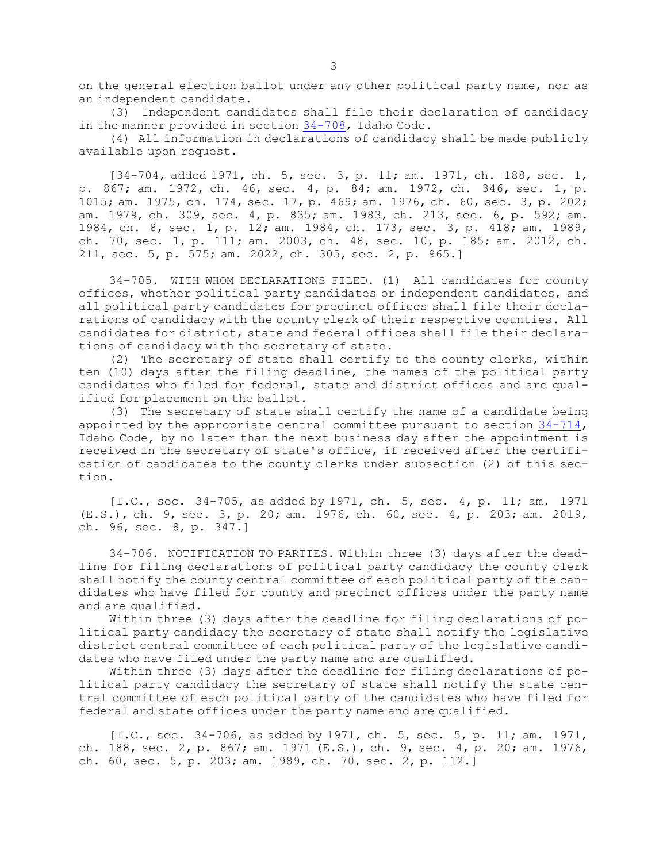on the general election ballot under any other political party name, nor as an independent candidate.

(3) Independent candidates shall file their declaration of candidacy in the manner provided in section [34-708](https://legislature.idaho.gov/statutesrules/idstat/Title34/T34CH7/SECT34-708), Idaho Code.

(4) All information in declarations of candidacy shall be made publicly available upon request.

[34-704, added 1971, ch. 5, sec. 3, p. 11; am. 1971, ch. 188, sec. 1, p. 867; am. 1972, ch. 46, sec. 4, p. 84; am. 1972, ch. 346, sec. 1, p. 1015; am. 1975, ch. 174, sec. 17, p. 469; am. 1976, ch. 60, sec. 3, p. 202; am. 1979, ch. 309, sec. 4, p. 835; am. 1983, ch. 213, sec. 6, p. 592; am. 1984, ch. 8, sec. 1, p. 12; am. 1984, ch. 173, sec. 3, p. 418; am. 1989, ch. 70, sec. 1, p. 111; am. 2003, ch. 48, sec. 10, p. 185; am. 2012, ch. 211, sec. 5, p. 575; am. 2022, ch. 305, sec. 2, p. 965.]

34-705. WITH WHOM DECLARATIONS FILED. (1) All candidates for county offices, whether political party candidates or independent candidates, and all political party candidates for precinct offices shall file their declarations of candidacy with the county clerk of their respective counties. All candidates for district, state and federal offices shall file their declarations of candidacy with the secretary of state.

(2) The secretary of state shall certify to the county clerks, within ten (10) days after the filing deadline, the names of the political party candidates who filed for federal, state and district offices and are qualified for placement on the ballot.

(3) The secretary of state shall certify the name of <sup>a</sup> candidate being appointed by the appropriate central committee pursuant to section [34-714](https://legislature.idaho.gov/statutesrules/idstat/Title34/T34CH7/SECT34-714), Idaho Code, by no later than the next business day after the appointment is received in the secretary of state's office, if received after the certification of candidates to the county clerks under subsection (2) of this section.

[I.C., sec. 34-705, as added by 1971, ch. 5, sec. 4, p. 11; am. 1971 (E.S.), ch. 9, sec. 3, p. 20; am. 1976, ch. 60, sec. 4, p. 203; am. 2019, ch. 96, sec. 8, p. 347.]

34-706. NOTIFICATION TO PARTIES. Within three (3) days after the deadline for filing declarations of political party candidacy the county clerk shall notify the county central committee of each political party of the candidates who have filed for county and precinct offices under the party name and are qualified.

Within three (3) days after the deadline for filing declarations of political party candidacy the secretary of state shall notify the legislative district central committee of each political party of the legislative candidates who have filed under the party name and are qualified.

Within three (3) days after the deadline for filing declarations of political party candidacy the secretary of state shall notify the state central committee of each political party of the candidates who have filed for federal and state offices under the party name and are qualified.

[I.C., sec. 34-706, as added by 1971, ch. 5, sec. 5, p. 11; am. 1971, ch. 188, sec. 2, p. 867; am. 1971 (E.S.), ch. 9, sec. 4, p. 20; am. 1976, ch. 60, sec. 5, p. 203; am. 1989, ch. 70, sec. 2, p. 112.]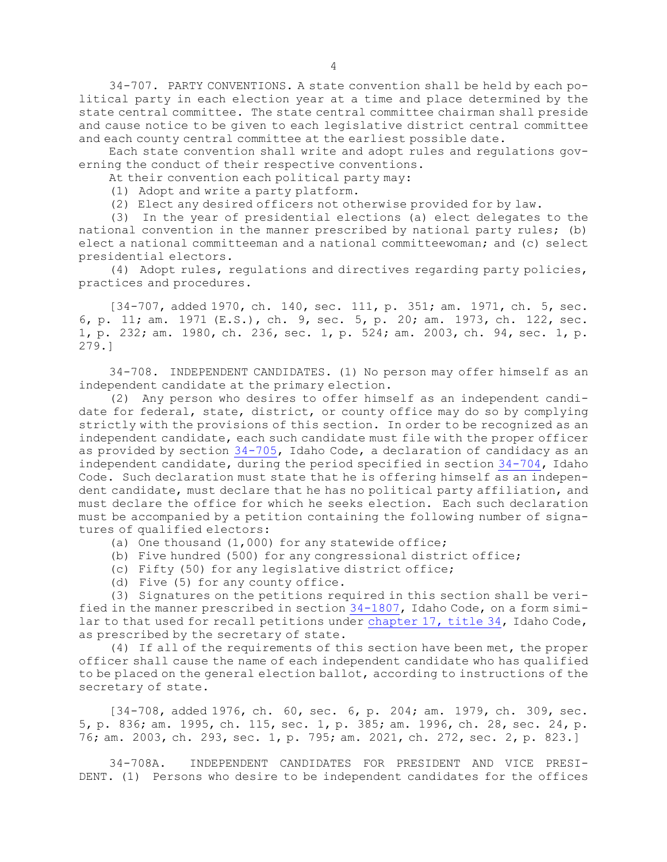34-707. PARTY CONVENTIONS. <sup>A</sup> state convention shall be held by each political party in each election year at <sup>a</sup> time and place determined by the state central committee. The state central committee chairman shall preside and cause notice to be given to each legislative district central committee and each county central committee at the earliest possible date.

Each state convention shall write and adopt rules and regulations governing the conduct of their respective conventions.

At their convention each political party may:

(1) Adopt and write <sup>a</sup> party platform.

(2) Elect any desired officers not otherwise provided for by law.

(3) In the year of presidential elections (a) elect delegates to the national convention in the manner prescribed by national party rules; (b) elect <sup>a</sup> national committeeman and <sup>a</sup> national committeewoman; and (c) select presidential electors.

(4) Adopt rules, regulations and directives regarding party policies, practices and procedures.

[34-707, added 1970, ch. 140, sec. 111, p. 351; am. 1971, ch. 5, sec. 6, p. 11; am. 1971 (E.S.), ch. 9, sec. 5, p. 20; am. 1973, ch. 122, sec. 1, p. 232; am. 1980, ch. 236, sec. 1, p. 524; am. 2003, ch. 94, sec. 1, p. 279.]

34-708. INDEPENDENT CANDIDATES. (1) No person may offer himself as an independent candidate at the primary election.

(2) Any person who desires to offer himself as an independent candidate for federal, state, district, or county office may do so by complying strictly with the provisions of this section. In order to be recognized as an independent candidate, each such candidate must file with the proper officer as provided by section [34-705](https://legislature.idaho.gov/statutesrules/idstat/Title34/T34CH7/SECT34-705), Idaho Code, <sup>a</sup> declaration of candidacy as an independent candidate, during the period specified in section [34-704](https://legislature.idaho.gov/statutesrules/idstat/Title34/T34CH7/SECT34-704), Idaho Code. Such declaration must state that he is offering himself as an independent candidate, must declare that he has no political party affiliation, and must declare the office for which he seeks election. Each such declaration must be accompanied by <sup>a</sup> petition containing the following number of signatures of qualified electors:

(a) One thousand (1,000) for any statewide office;

- (b) Five hundred (500) for any congressional district office;
- (c) Fifty (50) for any legislative district office;
- (d) Five (5) for any county office.

(3) Signatures on the petitions required in this section shall be verified in the manner prescribed in section [34-1807](https://legislature.idaho.gov/statutesrules/idstat/Title34/T34CH18/SECT34-1807), Idaho Code, on <sup>a</sup> form similar to that used for recall petitions under [chapter](https://legislature.idaho.gov/statutesrules/idstat/Title34/T34CH17) 17, title 34, Idaho Code, as prescribed by the secretary of state.

(4) If all of the requirements of this section have been met, the proper officer shall cause the name of each independent candidate who has qualified to be placed on the general election ballot, according to instructions of the secretary of state.

[34-708, added 1976, ch. 60, sec. 6, p. 204; am. 1979, ch. 309, sec. 5, p. 836; am. 1995, ch. 115, sec. 1, p. 385; am. 1996, ch. 28, sec. 24, p. 76; am. 2003, ch. 293, sec. 1, p. 795; am. 2021, ch. 272, sec. 2, p. 823.]

34-708A. INDEPENDENT CANDIDATES FOR PRESIDENT AND VICE PRESI-DENT. (1) Persons who desire to be independent candidates for the offices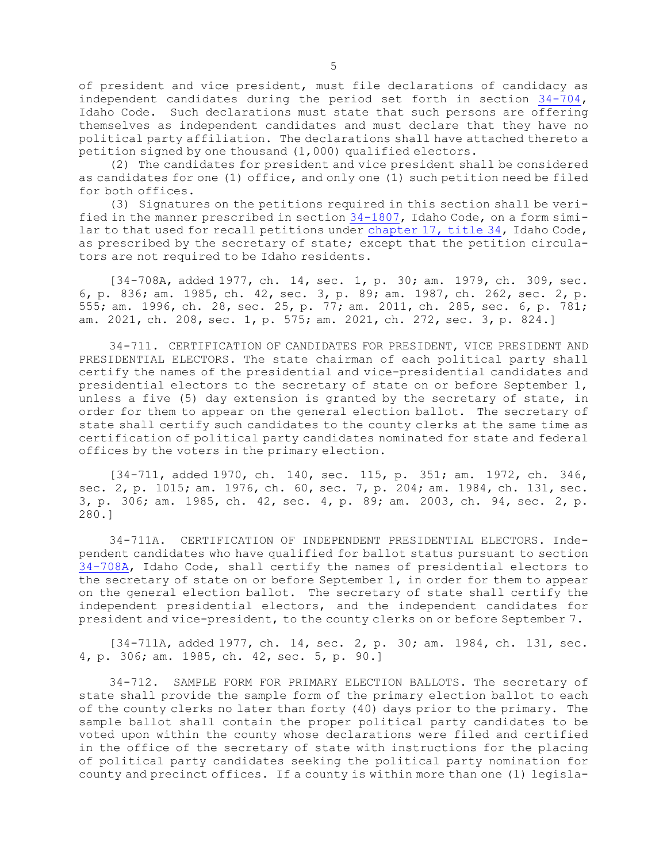of president and vice president, must file declarations of candidacy as independent candidates during the period set forth in section [34-704](https://legislature.idaho.gov/statutesrules/idstat/Title34/T34CH7/SECT34-704), Idaho Code. Such declarations must state that such persons are offering themselves as independent candidates and must declare that they have no political party affiliation. The declarations shall have attached thereto <sup>a</sup> petition signed by one thousand (1,000) qualified electors.

(2) The candidates for president and vice president shall be considered as candidates for one (1) office, and only one (1) such petition need be filed for both offices.

(3) Signatures on the petitions required in this section shall be verified in the manner prescribed in section [34-1807](https://legislature.idaho.gov/statutesrules/idstat/Title34/T34CH18/SECT34-1807), Idaho Code, on <sup>a</sup> form similar to that used for recall petitions under [chapter](https://legislature.idaho.gov/statutesrules/idstat/Title34/T34CH17) 17, title 34, Idaho Code, as prescribed by the secretary of state; except that the petition circulators are not required to be Idaho residents.

[34-708A, added 1977, ch. 14, sec. 1, p. 30; am. 1979, ch. 309, sec. 6, p. 836; am. 1985, ch. 42, sec. 3, p. 89; am. 1987, ch. 262, sec. 2, p. 555; am. 1996, ch. 28, sec. 25, p. 77; am. 2011, ch. 285, sec. 6, p. 781; am. 2021, ch. 208, sec. 1, p. 575; am. 2021, ch. 272, sec. 3, p. 824.]

34-711. CERTIFICATION OF CANDIDATES FOR PRESIDENT, VICE PRESIDENT AND PRESIDENTIAL ELECTORS. The state chairman of each political party shall certify the names of the presidential and vice-presidential candidates and presidential electors to the secretary of state on or before September 1, unless <sup>a</sup> five (5) day extension is granted by the secretary of state, in order for them to appear on the general election ballot. The secretary of state shall certify such candidates to the county clerks at the same time as certification of political party candidates nominated for state and federal offices by the voters in the primary election.

[34-711, added 1970, ch. 140, sec. 115, p. 351; am. 1972, ch. 346, sec. 2, p. 1015; am. 1976, ch. 60, sec. 7, p. 204; am. 1984, ch. 131, sec. 3, p. 306; am. 1985, ch. 42, sec. 4, p. 89; am. 2003, ch. 94, sec. 2, p. 280.]

34-711A. CERTIFICATION OF INDEPENDENT PRESIDENTIAL ELECTORS. Independent candidates who have qualified for ballot status pursuant to section [34-708A](https://legislature.idaho.gov/statutesrules/idstat/Title34/T34CH7/SECT34-708A), Idaho Code, shall certify the names of presidential electors to the secretary of state on or before September 1, in order for them to appear on the general election ballot. The secretary of state shall certify the independent presidential electors, and the independent candidates for president and vice-president, to the county clerks on or before September 7.

[34-711A, added 1977, ch. 14, sec. 2, p. 30; am. 1984, ch. 131, sec. 4, p. 306; am. 1985, ch. 42, sec. 5, p. 90.]

34-712. SAMPLE FORM FOR PRIMARY ELECTION BALLOTS. The secretary of state shall provide the sample form of the primary election ballot to each of the county clerks no later than forty (40) days prior to the primary. The sample ballot shall contain the proper political party candidates to be voted upon within the county whose declarations were filed and certified in the office of the secretary of state with instructions for the placing of political party candidates seeking the political party nomination for county and precinct offices. If <sup>a</sup> county is within more than one (1) legisla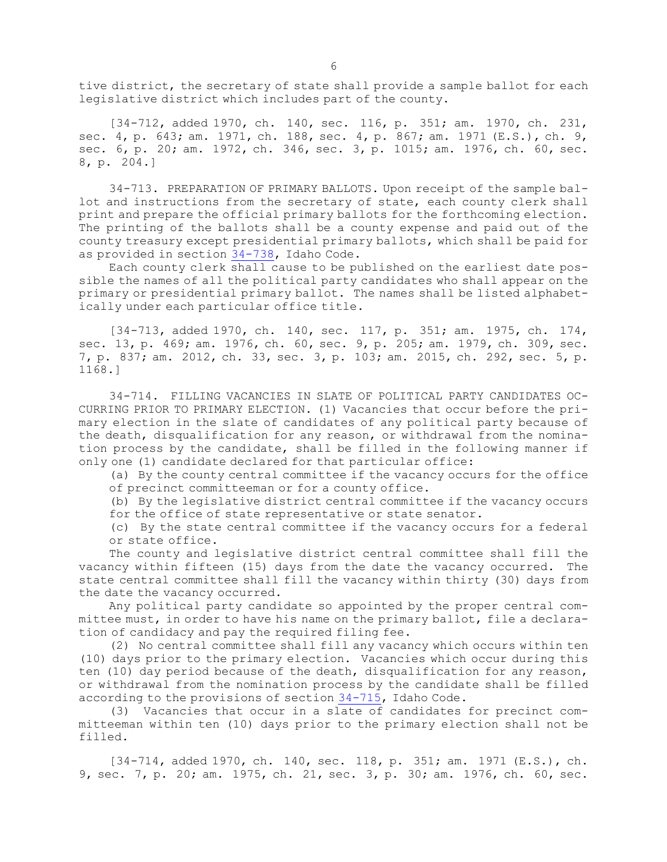tive district, the secretary of state shall provide <sup>a</sup> sample ballot for each legislative district which includes part of the county.

[34-712, added 1970, ch. 140, sec. 116, p. 351; am. 1970, ch. 231, sec. 4, p. 643; am. 1971, ch. 188, sec. 4, p. 867; am. 1971 (E.S.), ch. 9, sec. 6, p. 20; am. 1972, ch. 346, sec. 3, p. 1015; am. 1976, ch. 60, sec. 8, p. 204.]

34-713. PREPARATION OF PRIMARY BALLOTS. Upon receipt of the sample ballot and instructions from the secretary of state, each county clerk shall print and prepare the official primary ballots for the forthcoming election. The printing of the ballots shall be <sup>a</sup> county expense and paid out of the county treasury except presidential primary ballots, which shall be paid for as provided in section [34-738](https://legislature.idaho.gov/statutesrules/idstat/Title34/T34CH7/SECT34-738), Idaho Code.

Each county clerk shall cause to be published on the earliest date possible the names of all the political party candidates who shall appear on the primary or presidential primary ballot. The names shall be listed alphabetically under each particular office title.

[34-713, added 1970, ch. 140, sec. 117, p. 351; am. 1975, ch. 174, sec. 13, p. 469; am. 1976, ch. 60, sec. 9, p. 205; am. 1979, ch. 309, sec. 7, p. 837; am. 2012, ch. 33, sec. 3, p. 103; am. 2015, ch. 292, sec. 5, p. 1168.]

34-714. FILLING VACANCIES IN SLATE OF POLITICAL PARTY CANDIDATES OC-CURRING PRIOR TO PRIMARY ELECTION. (1) Vacancies that occur before the primary election in the slate of candidates of any political party because of the death, disqualification for any reason, or withdrawal from the nomination process by the candidate, shall be filled in the following manner if only one (1) candidate declared for that particular office:

(a) By the county central committee if the vacancy occurs for the office of precinct committeeman or for <sup>a</sup> county office.

(b) By the legislative district central committee if the vacancy occurs for the office of state representative or state senator.

(c) By the state central committee if the vacancy occurs for <sup>a</sup> federal or state office.

The county and legislative district central committee shall fill the vacancy within fifteen (15) days from the date the vacancy occurred. The state central committee shall fill the vacancy within thirty (30) days from the date the vacancy occurred.

Any political party candidate so appointed by the proper central committee must, in order to have his name on the primary ballot, file <sup>a</sup> declaration of candidacy and pay the required filing fee.

(2) No central committee shall fill any vacancy which occurs within ten (10) days prior to the primary election. Vacancies which occur during this ten (10) day period because of the death, disqualification for any reason, or withdrawal from the nomination process by the candidate shall be filled according to the provisions of section [34-715](https://legislature.idaho.gov/statutesrules/idstat/Title34/T34CH7/SECT34-715), Idaho Code.

(3) Vacancies that occur in <sup>a</sup> slate of candidates for precinct committeeman within ten (10) days prior to the primary election shall not be filled.

[34-714, added 1970, ch. 140, sec. 118, p. 351; am. 1971 (E.S.), ch. 9, sec. 7, p. 20; am. 1975, ch. 21, sec. 3, p. 30; am. 1976, ch. 60, sec.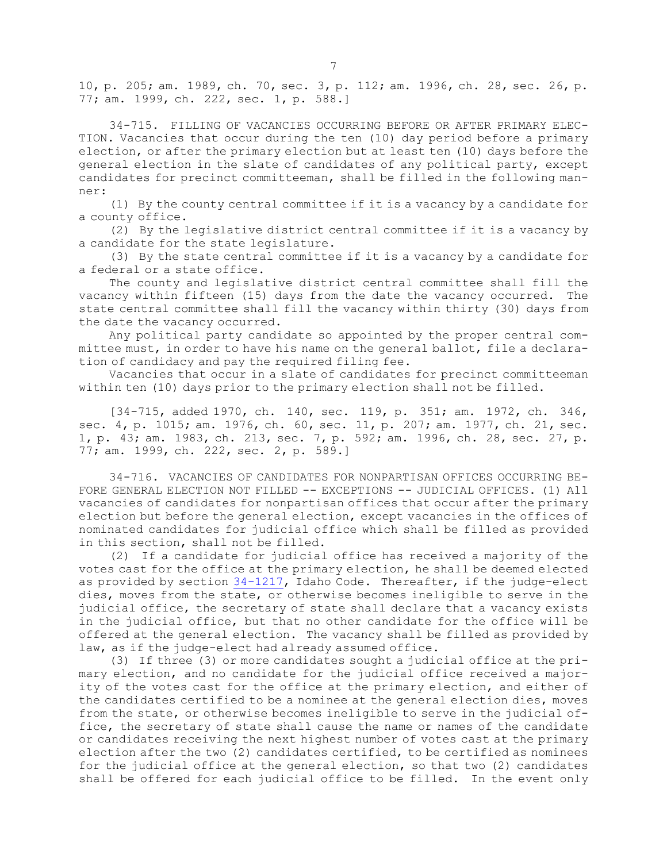10, p. 205; am. 1989, ch. 70, sec. 3, p. 112; am. 1996, ch. 28, sec. 26, p. 77; am. 1999, ch. 222, sec. 1, p. 588.]

34-715. FILLING OF VACANCIES OCCURRING BEFORE OR AFTER PRIMARY ELEC-TION. Vacancies that occur during the ten (10) day period before <sup>a</sup> primary election, or after the primary election but at least ten (10) days before the general election in the slate of candidates of any political party, except candidates for precinct committeeman, shall be filled in the following manner:

(1) By the county central committee if it is <sup>a</sup> vacancy by <sup>a</sup> candidate for <sup>a</sup> county office.

(2) By the legislative district central committee if it is <sup>a</sup> vacancy by <sup>a</sup> candidate for the state legislature.

(3) By the state central committee if it is <sup>a</sup> vacancy by <sup>a</sup> candidate for <sup>a</sup> federal or <sup>a</sup> state office.

The county and legislative district central committee shall fill the vacancy within fifteen (15) days from the date the vacancy occurred. The state central committee shall fill the vacancy within thirty (30) days from the date the vacancy occurred.

Any political party candidate so appointed by the proper central committee must, in order to have his name on the general ballot, file <sup>a</sup> declaration of candidacy and pay the required filing fee.

Vacancies that occur in <sup>a</sup> slate of candidates for precinct committeeman within ten (10) days prior to the primary election shall not be filled.

[34-715, added 1970, ch. 140, sec. 119, p. 351; am. 1972, ch. 346, sec. 4, p. 1015; am. 1976, ch. 60, sec. 11, p. 207; am. 1977, ch. 21, sec. 1, p. 43; am. 1983, ch. 213, sec. 7, p. 592; am. 1996, ch. 28, sec. 27, p. 77; am. 1999, ch. 222, sec. 2, p. 589.]

34-716. VACANCIES OF CANDIDATES FOR NONPARTISAN OFFICES OCCURRING BE-FORE GENERAL ELECTION NOT FILLED -- EXCEPTIONS -- JUDICIAL OFFICES. (1) All vacancies of candidates for nonpartisan offices that occur after the primary election but before the general election, except vacancies in the offices of nominated candidates for judicial office which shall be filled as provided in this section, shall not be filled.

(2) If <sup>a</sup> candidate for judicial office has received <sup>a</sup> majority of the votes cast for the office at the primary election, he shall be deemed elected as provided by section  $34-1217$ , Idaho Code. Thereafter, if the judge-elect dies, moves from the state, or otherwise becomes ineligible to serve in the judicial office, the secretary of state shall declare that <sup>a</sup> vacancy exists in the judicial office, but that no other candidate for the office will be offered at the general election. The vacancy shall be filled as provided by law, as if the judge-elect had already assumed office.

(3) If three (3) or more candidates sought <sup>a</sup> judicial office at the primary election, and no candidate for the judicial office received <sup>a</sup> majority of the votes cast for the office at the primary election, and either of the candidates certified to be <sup>a</sup> nominee at the general election dies, moves from the state, or otherwise becomes ineligible to serve in the judicial office, the secretary of state shall cause the name or names of the candidate or candidates receiving the next highest number of votes cast at the primary election after the two (2) candidates certified, to be certified as nominees for the judicial office at the general election, so that two (2) candidates shall be offered for each judicial office to be filled. In the event only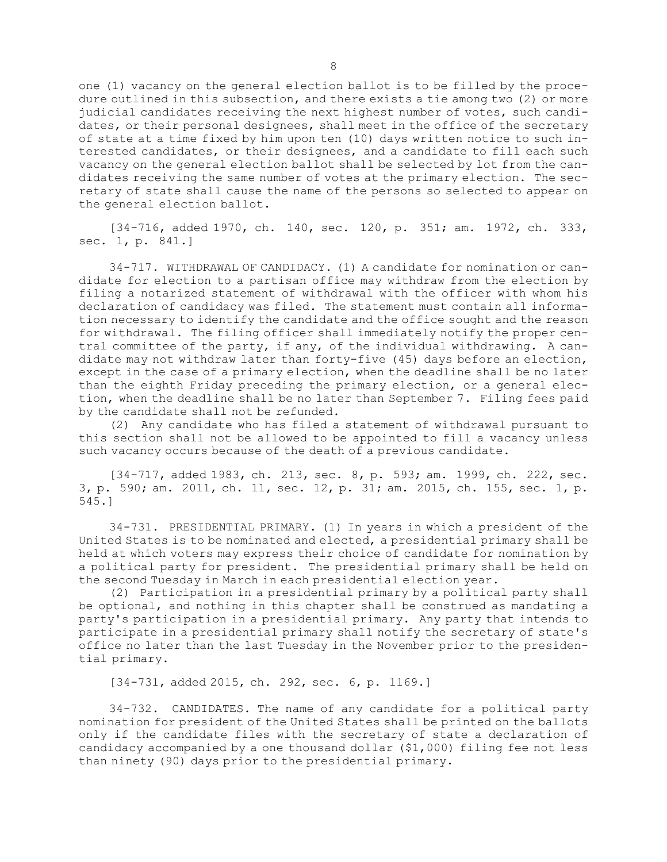one (1) vacancy on the general election ballot is to be filled by the procedure outlined in this subsection, and there exists <sup>a</sup> tie among two (2) or more judicial candidates receiving the next highest number of votes, such candidates, or their personal designees, shall meet in the office of the secretary of state at <sup>a</sup> time fixed by him upon ten (10) days written notice to such interested candidates, or their designees, and <sup>a</sup> candidate to fill each such vacancy on the general election ballot shall be selected by lot from the candidates receiving the same number of votes at the primary election. The secretary of state shall cause the name of the persons so selected to appear on the general election ballot.

[34-716, added 1970, ch. 140, sec. 120, p. 351; am. 1972, ch. 333, sec. 1, p. 841.]

34-717. WITHDRAWAL OF CANDIDACY. (1) A candidate for nomination or candidate for election to <sup>a</sup> partisan office may withdraw from the election by filing <sup>a</sup> notarized statement of withdrawal with the officer with whom his declaration of candidacy was filed. The statement must contain all information necessary to identify the candidate and the office sought and the reason for withdrawal. The filing officer shall immediately notify the proper central committee of the party, if any, of the individual withdrawing. <sup>A</sup> candidate may not withdraw later than forty-five (45) days before an election, except in the case of <sup>a</sup> primary election, when the deadline shall be no later than the eighth Friday preceding the primary election, or <sup>a</sup> general election, when the deadline shall be no later than September 7. Filing fees paid by the candidate shall not be refunded.

(2) Any candidate who has filed <sup>a</sup> statement of withdrawal pursuant to this section shall not be allowed to be appointed to fill <sup>a</sup> vacancy unless such vacancy occurs because of the death of <sup>a</sup> previous candidate.

[34-717, added 1983, ch. 213, sec. 8, p. 593; am. 1999, ch. 222, sec. 3, p. 590; am. 2011, ch. 11, sec. 12, p. 31; am. 2015, ch. 155, sec. 1, p. 545.]

34-731. PRESIDENTIAL PRIMARY. (1) In years in which <sup>a</sup> president of the United States is to be nominated and elected, <sup>a</sup> presidential primary shall be held at which voters may express their choice of candidate for nomination by <sup>a</sup> political party for president. The presidential primary shall be held on the second Tuesday in March in each presidential election year.

(2) Participation in <sup>a</sup> presidential primary by <sup>a</sup> political party shall be optional, and nothing in this chapter shall be construed as mandating <sup>a</sup> party's participation in <sup>a</sup> presidential primary. Any party that intends to participate in <sup>a</sup> presidential primary shall notify the secretary of state's office no later than the last Tuesday in the November prior to the presidential primary.

[34-731, added 2015, ch. 292, sec. 6, p. 1169.]

34-732. CANDIDATES. The name of any candidate for <sup>a</sup> political party nomination for president of the United States shall be printed on the ballots only if the candidate files with the secretary of state <sup>a</sup> declaration of candidacy accompanied by <sup>a</sup> one thousand dollar (\$1,000) filing fee not less than ninety (90) days prior to the presidential primary.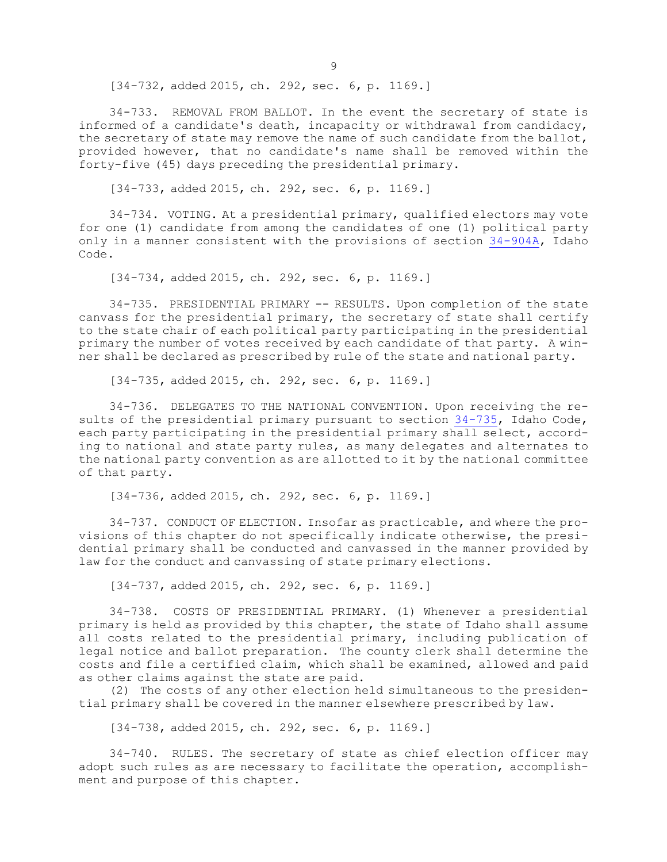[34-732, added 2015, ch. 292, sec. 6, p. 1169.]

34-733. REMOVAL FROM BALLOT. In the event the secretary of state is informed of <sup>a</sup> candidate's death, incapacity or withdrawal from candidacy, the secretary of state may remove the name of such candidate from the ballot, provided however, that no candidate's name shall be removed within the forty-five (45) days preceding the presidential primary.

[34-733, added 2015, ch. 292, sec. 6, p. 1169.]

34-734. VOTING. At <sup>a</sup> presidential primary, qualified electors may vote for one (1) candidate from among the candidates of one (1) political party only in <sup>a</sup> manner consistent with the provisions of section [34-904A](https://legislature.idaho.gov/statutesrules/idstat/Title34/T34CH9/SECT34-904A), Idaho Code.

[34-734, added 2015, ch. 292, sec. 6, p. 1169.]

34-735. PRESIDENTIAL PRIMARY -- RESULTS. Upon completion of the state canvass for the presidential primary, the secretary of state shall certify to the state chair of each political party participating in the presidential primary the number of votes received by each candidate of that party. <sup>A</sup> winner shall be declared as prescribed by rule of the state and national party.

[34-735, added 2015, ch. 292, sec. 6, p. 1169.]

34-736. DELEGATES TO THE NATIONAL CONVENTION. Upon receiving the results of the presidential primary pursuant to section [34-735](https://legislature.idaho.gov/statutesrules/idstat/Title34/T34CH7/SECT34-735), Idaho Code, each party participating in the presidential primary shall select, according to national and state party rules, as many delegates and alternates to the national party convention as are allotted to it by the national committee of that party.

[34-736, added 2015, ch. 292, sec. 6, p. 1169.]

34-737. CONDUCT OF ELECTION. Insofar as practicable, and where the provisions of this chapter do not specifically indicate otherwise, the presidential primary shall be conducted and canvassed in the manner provided by law for the conduct and canvassing of state primary elections.

[34-737, added 2015, ch. 292, sec. 6, p. 1169.]

34-738. COSTS OF PRESIDENTIAL PRIMARY. (1) Whenever <sup>a</sup> presidential primary is held as provided by this chapter, the state of Idaho shall assume all costs related to the presidential primary, including publication of legal notice and ballot preparation. The county clerk shall determine the costs and file <sup>a</sup> certified claim, which shall be examined, allowed and paid as other claims against the state are paid.

(2) The costs of any other election held simultaneous to the presidential primary shall be covered in the manner elsewhere prescribed by law.

[34-738, added 2015, ch. 292, sec. 6, p. 1169.]

34-740. RULES. The secretary of state as chief election officer may adopt such rules as are necessary to facilitate the operation, accomplishment and purpose of this chapter.